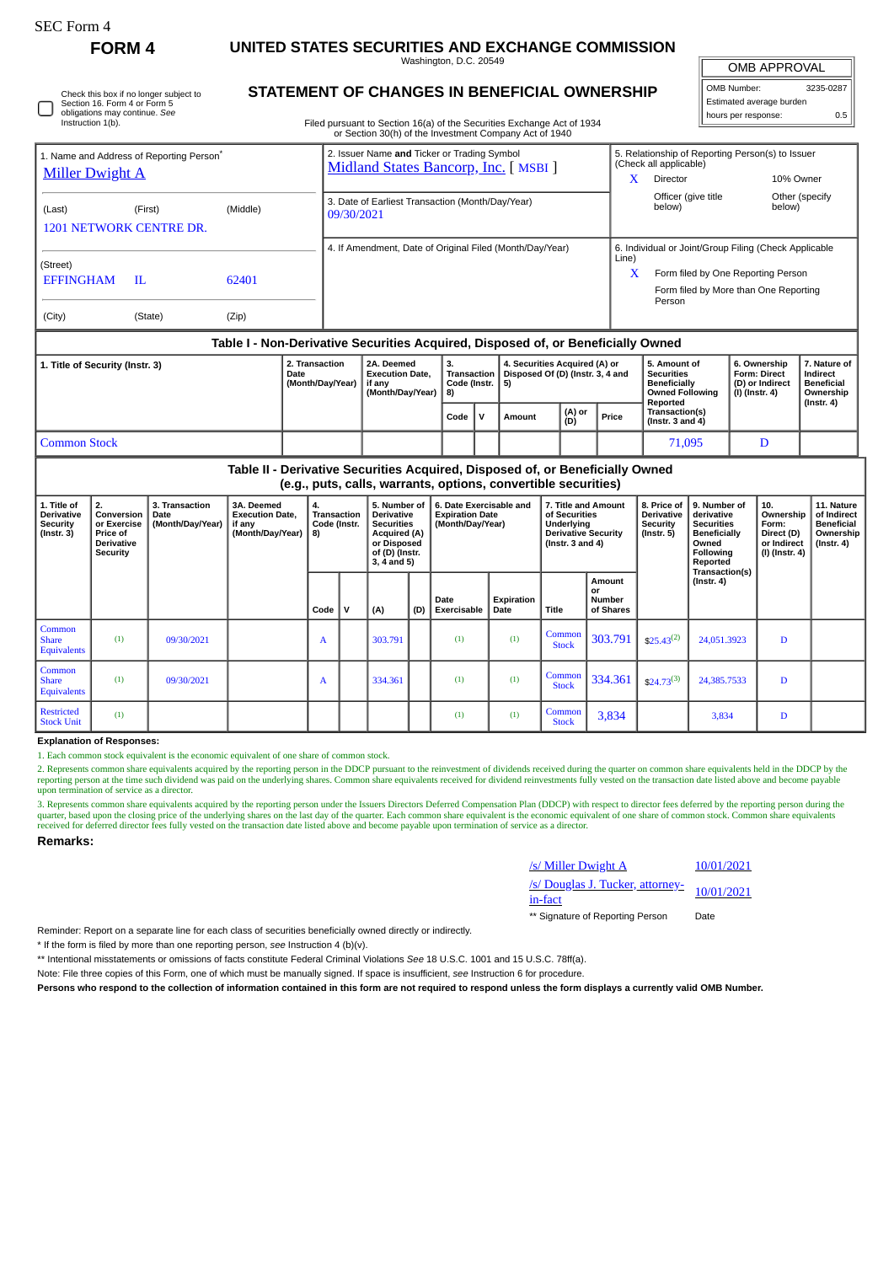Check this box if no longer subject to Section 16. Form 4 or Form 5 obligations may continue. *See* Instruction 1(b).

**FORM 4 UNITED STATES SECURITIES AND EXCHANGE COMMISSION** Washington, D.C. 20549

OMB APPROVAL

 $\mathbb{I}$ 

| OMB Number:              | 3235-0287 |
|--------------------------|-----------|
| Estimated average burden |           |
| hours per response:      | 0.5       |

|  | STATEMENT OF CHANGES IN BENEFICIAL OWNERSHIP |  |
|--|----------------------------------------------|--|
|  |                                              |  |

Filed pursuant to Section 16(a) of the Securities Exchange Act of 1934 or Section 30(h) of the Investment Company Act of 1940

|                                                                                |               |                                    |                                                                    | or Section 30(n) or the investment Company Act or 1940                               |           |                                                                   |                         |  |                                                                                                |                                                                                                                                                              |                                                            |                  |
|--------------------------------------------------------------------------------|---------------|------------------------------------|--------------------------------------------------------------------|--------------------------------------------------------------------------------------|-----------|-------------------------------------------------------------------|-------------------------|--|------------------------------------------------------------------------------------------------|--------------------------------------------------------------------------------------------------------------------------------------------------------------|------------------------------------------------------------|------------------|
| 1. Name and Address of Reporting Person <sup>®</sup><br><b>Miller Dwight A</b> |               |                                    |                                                                    | 2. Issuer Name and Ticker or Trading Symbol<br>Midland States Bancorp, Inc. [ MSBI ] |           |                                                                   |                         |  |                                                                                                | 5. Relationship of Reporting Person(s) to Issuer<br>(Check all applicable)<br>X.<br>Director<br>10% Owner                                                    |                                                            |                  |
| (Last)<br>1201 NETWORK CENTRE DR.                                              | (First)       | (Middle)                           |                                                                    | 3. Date of Earliest Transaction (Month/Day/Year)<br>09/30/2021                       |           |                                                                   |                         |  |                                                                                                | Officer (give title<br>below)                                                                                                                                | below)                                                     | Other (specify   |
| (Street)<br><b>EFFINGHAM</b><br>(City)                                         | H.<br>(State) | 62401<br>(Zip)                     |                                                                    | 4. If Amendment, Date of Original Filed (Month/Day/Year)                             |           |                                                                   |                         |  |                                                                                                | 6. Individual or Joint/Group Filing (Check Applicable<br>Line)<br>X<br>Form filed by One Reporting Person<br>Form filed by More than One Reporting<br>Person |                                                            |                  |
|                                                                                |               |                                    |                                                                    | Table I - Non-Derivative Securities Acquired, Disposed of, or Beneficially Owned     |           |                                                                   |                         |  |                                                                                                |                                                                                                                                                              |                                                            |                  |
| 1. Title of Security (Instr. 3)<br><b>Date</b>                                 |               | 2. Transaction<br>(Month/Day/Year) | 2A. Deemed<br><b>Execution Date.</b><br>if any<br>(Month/Day/Year) | 3.<br>Transaction  <br>Code (Instr. $  5$ )<br>-8)                                   |           | 4. Securities Acquired (A) or<br>Disposed Of (D) (Instr. 3, 4 and |                         |  | 5. Amount of<br><b>Securities</b><br><b>Beneficially</b><br><b>Owned Following</b><br>Reported | 6. Ownership<br><b>Form: Direct</b><br>(D) or Indirect<br>(I) (Instr. 4)                                                                                     | 7. Nature of<br>Indirect<br><b>Beneficial</b><br>Ownership |                  |
|                                                                                |               |                                    |                                                                    |                                                                                      | Code<br>v |                                                                   | (A) or<br>Amount<br>(D) |  | Price                                                                                          | Transaction(s)<br>( $lnstr. 3 and 4$ )                                                                                                                       |                                                            | $($ Instr. 4 $)$ |
| <b>Common Stock</b>                                                            |               |                                    |                                                                    |                                                                                      |           |                                                                   |                         |  |                                                                                                | 71,095                                                                                                                                                       | D                                                          |                  |

# **Table II - Derivative Securities Acquired, Disposed of, or Beneficially Owned (e.g., puts, calls, warrants, options, convertible securities)**

| 1. Title of<br><b>Derivative</b><br>Security<br>$($ Instr. 3 $)$ | 2.<br>Conversion<br>or Exercise<br><b>Price of</b><br><b>Derivative</b><br>Security | 3. Transaction<br>Date<br>(Month/Day/Year) | 3A. Deemed<br><b>Execution Date.</b><br>if any<br>(Month/Day/Year) | 4.<br><b>Transaction</b><br>Code (Instr.<br>8) |              | 5. Number of<br>6. Date Exercisable and<br><b>Derivative</b><br><b>Expiration Date</b><br><b>Securities</b><br>(Month/Day/Year)<br><b>Acquired (A)</b><br>or Disposed<br>of (D) (Instr.<br>$3, 4$ and $5)$ |     | 7. Title and Amount<br>of Securities<br>Underlying<br><b>Derivative Security</b><br>( $Instr. 3 and 4$ ) |                    | 8. Price of<br><b>Derivative</b><br><b>Security</b><br>(Instr. 5) | 9. Number of<br>derivative<br><b>Securities</b><br><b>Beneficially</b><br>Owned<br>Following<br>Reported | 10.<br>Ownership<br>Form:<br>Direct (D)<br>or Indirect<br>(l) (Instr. 4) │ | 11. Nature<br>of Indirect<br><b>Beneficial</b><br>Ownership<br>$($ lnstr. 4 $)$ |   |  |
|------------------------------------------------------------------|-------------------------------------------------------------------------------------|--------------------------------------------|--------------------------------------------------------------------|------------------------------------------------|--------------|------------------------------------------------------------------------------------------------------------------------------------------------------------------------------------------------------------|-----|----------------------------------------------------------------------------------------------------------|--------------------|-------------------------------------------------------------------|----------------------------------------------------------------------------------------------------------|----------------------------------------------------------------------------|---------------------------------------------------------------------------------|---|--|
|                                                                  |                                                                                     |                                            |                                                                    | Code                                           | $\mathsf{v}$ | (A)                                                                                                                                                                                                        | (D) | Date<br>Exercisable                                                                                      | Expiration<br>Date | Title                                                             | Amount<br>or<br><b>Number</b><br>of Shares                                                               |                                                                            | Transaction(s)<br>(Instr. 4)                                                    |   |  |
| Common<br><b>Share</b><br><b>Equivalents</b>                     | (1)                                                                                 | 09/30/2021                                 |                                                                    | A                                              |              | 303.791                                                                                                                                                                                                    |     | (1)                                                                                                      | (1)                | Common<br><b>Stock</b>                                            | 303.791                                                                                                  | $$25.43^{(2)}$                                                             | 24,051.3923                                                                     | D |  |
| Common<br><b>Share</b><br><b>Equivalents</b>                     | (1)                                                                                 | 09/30/2021                                 |                                                                    | A                                              |              | 334.361                                                                                                                                                                                                    |     | (1)                                                                                                      | (1)                | Common<br><b>Stock</b>                                            | 334.361                                                                                                  | $$24.73^{(3)}$                                                             | 24,385.7533                                                                     | D |  |
| <b>Restricted</b><br><b>Stock Unit</b>                           | (1)                                                                                 |                                            |                                                                    |                                                |              |                                                                                                                                                                                                            |     | (1)                                                                                                      | (1)                | Common<br><b>Stock</b>                                            | 3,834                                                                                                    |                                                                            | 3,834                                                                           | D |  |

### **Explanation of Responses:**

1. Each common stock equivalent is the economic equivalent of one share of common stock.

2. Represents common share equivalents acquired by the reporting person in the DDCP pursuant to the reinvestment of dividends received during the quarter on common share equivalents held in the DDCP by the<br>reporting person upon termination of service as a director.

3. Represents common share equivalents acquired by the reporting person under the Issuers Directors Deferred Compensation Plan (DDCP) with respect to director fees deferred by the reporting person during the reporting pers

#### **Remarks:**

| /s/ Miller Dwight A                         | 10/01/2021 |
|---------------------------------------------|------------|
| /s/ Douglas J. Tucker, attorney-<br>in-fact | 10/01/2021 |
| ** Signature of Reporting Person            | Date       |

Reminder: Report on a separate line for each class of securities beneficially owned directly or indirectly.

\* If the form is filed by more than one reporting person, *see* Instruction 4 (b)(v).

\*\* Intentional misstatements or omissions of facts constitute Federal Criminal Violations *See* 18 U.S.C. 1001 and 15 U.S.C. 78ff(a).

Note: File three copies of this Form, one of which must be manually signed. If space is insufficient, *see* Instruction 6 for procedure.

**Persons who respond to the collection of information contained in this form are not required to respond unless the form displays a currently valid OMB Number.**